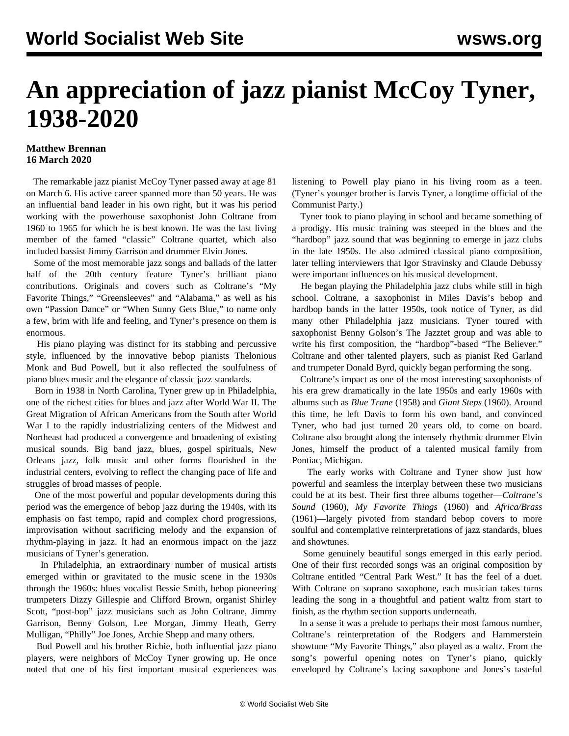## **An appreciation of jazz pianist McCoy Tyner, 1938-2020**

## **Matthew Brennan 16 March 2020**

 The remarkable jazz pianist McCoy Tyner passed away at age 81 on March 6. His active career spanned more than 50 years. He was an influential band leader in his own right, but it was his period working with the powerhouse saxophonist John Coltrane from 1960 to 1965 for which he is best known. He was the last living member of the famed "classic" Coltrane quartet, which also included bassist Jimmy Garrison and drummer Elvin Jones.

 Some of the most memorable jazz songs and ballads of the latter half of the 20th century feature Tyner's brilliant piano contributions. Originals and covers such as Coltrane's "My Favorite Things," "Greensleeves" and "Alabama," as well as his own "Passion Dance" or "When Sunny Gets Blue," to name only a few, brim with life and feeling, and Tyner's presence on them is enormous.

 His piano playing was distinct for its stabbing and percussive style, influenced by the innovative bebop pianists Thelonious Monk and Bud Powell, but it also reflected the soulfulness of piano blues music and the elegance of classic jazz standards.

 Born in 1938 in North Carolina, Tyner grew up in Philadelphia, one of the richest cities for blues and jazz after World War II. The Great Migration of African Americans from the South after World War I to the rapidly industrializing centers of the Midwest and Northeast had produced a convergence and broadening of existing musical sounds. Big band jazz, blues, gospel spirituals, New Orleans jazz, folk music and other forms flourished in the industrial centers, evolving to reflect the changing pace of life and struggles of broad masses of people.

 One of the most powerful and popular developments during this period was the emergence of bebop jazz during the 1940s, with its emphasis on fast tempo, rapid and complex chord progressions, improvisation without sacrificing melody and the expansion of rhythm-playing in jazz. It had an enormous impact on the jazz musicians of Tyner's generation.

 In Philadelphia, an extraordinary number of musical artists emerged within or gravitated to the music scene in the 1930s through the 1960s: blues vocalist Bessie Smith, bebop pioneering trumpeters Dizzy Gillespie and Clifford Brown, organist Shirley Scott, "post-bop" jazz musicians such as John Coltrane, Jimmy Garrison, Benny Golson, Lee Morgan, Jimmy Heath, Gerry Mulligan, "Philly" Joe Jones, Archie Shepp and many others.

 Bud Powell and his brother Richie, both influential jazz piano players, were neighbors of McCoy Tyner growing up. He once noted that one of his first important musical experiences was

listening to Powell play piano in his living room as a teen. (Tyner's younger brother is Jarvis Tyner, a longtime official of the Communist Party.)

 Tyner took to piano playing in school and became something of a prodigy. His music training was steeped in the blues and the "hardbop" jazz sound that was beginning to emerge in jazz clubs in the late 1950s. He also admired classical piano composition, later telling interviewers that Igor Stravinsky and Claude Debussy were important influences on his musical development.

 He began playing the Philadelphia jazz clubs while still in high school. Coltrane, a saxophonist in Miles Davis's bebop and hardbop bands in the latter 1950s, took notice of Tyner, as did many other Philadelphia jazz musicians. Tyner toured with saxophonist Benny Golson's The Jazztet group and was able to write his first composition, the "hardbop"-based ["The Believer.](https://www.youtube.com/watch?v=zPa4GtZ2FTk)" Coltrane and other talented players, such as pianist Red Garland and trumpeter Donald Byrd, quickly began performing the song.

 Coltrane's impact as one of the most interesting saxophonists of his era grew dramatically in the late 1950s and early 1960s with albums such as *Blue Trane* (1958) and *Giant Steps* (1960). Around this time, he left Davis to form his own band, and convinced Tyner, who had just turned 20 years old, to come on board. Coltrane also brought along the intensely rhythmic drummer Elvin Jones, himself the product of a talented musical family from Pontiac, Michigan.

 The early works with Coltrane and Tyner show just how powerful and seamless the interplay between these two musicians could be at its best. Their first three albums together—*Coltrane's Sound* (1960), *My Favorite Things* (1960) and *Africa/Brass* (1961)—largely pivoted from standard bebop covers to more soulful and contemplative reinterpretations of jazz standards, blues and showtunes.

 Some genuinely beautiful songs emerged in this early period. One of their first recorded songs was an original composition by Coltrane entitled "[Central Park West](https://www.youtube.com/watch?v=t5Z63UHrjKE)." It has the feel of a duet. With Coltrane on soprano saxophone, each musician takes turns leading the song in a thoughtful and patient waltz from start to finish, as the rhythm section supports underneath.

 In a sense it was a prelude to perhaps their most famous number, Coltrane's reinterpretation of the Rodgers and Hammerstein showtune ["My Favorite Things](https://www.youtube.com/watch?v=qWG2dsXV5HI)," also played as a waltz. From the song's powerful opening notes on Tyner's piano, quickly enveloped by Coltrane's lacing saxophone and Jones's tasteful